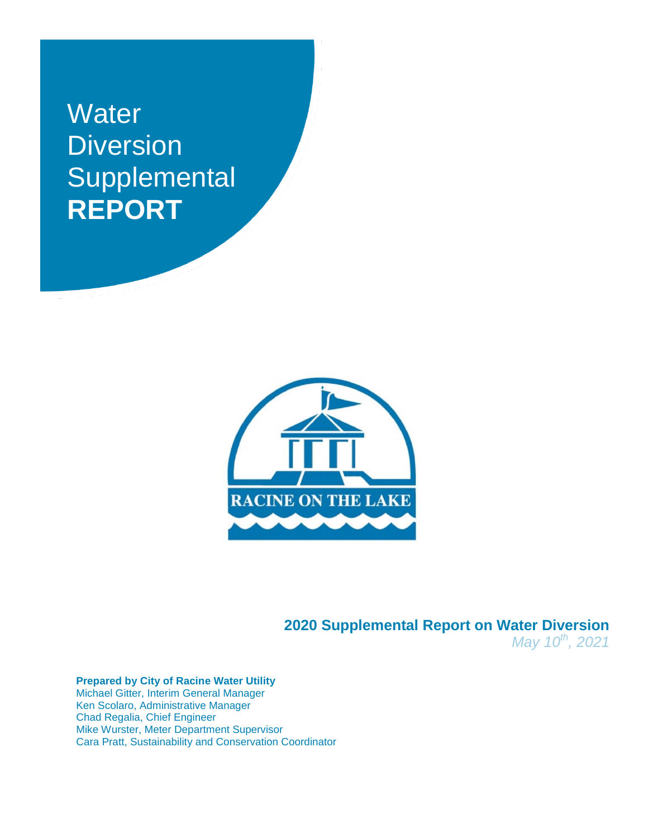# **Water Diversion Supplemental REPORT**



**2020 Supplemental Report on Water Diversion** *May 10th, 2021*

#### **Prepared by City of Racine Water Utility** Michael Gitter, Interim General Manager Ken Scolaro, Administrative Manager Chad Regalia, Chief Engineer Mike Wurster, Meter Department Supervisor Cara Pratt, Sustainability and Conservation Coordinator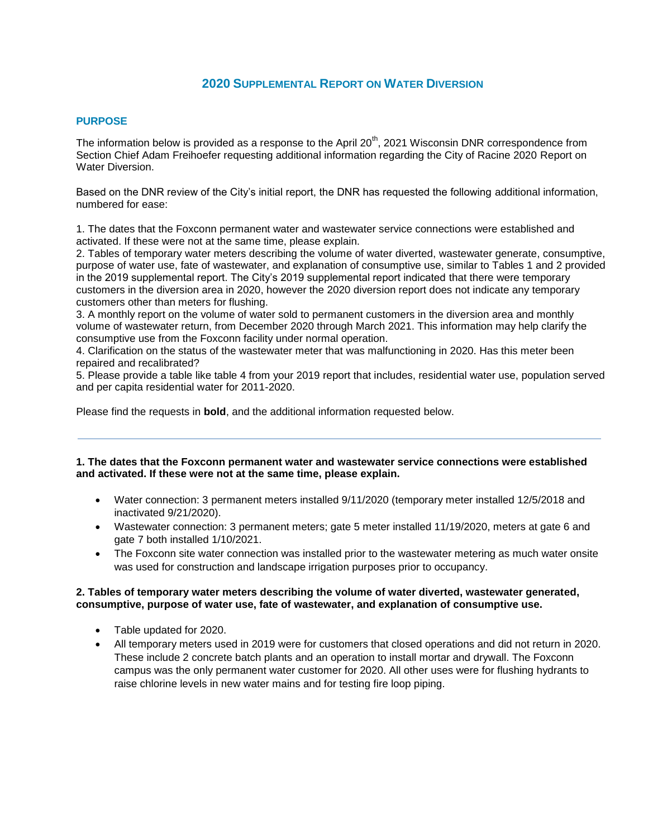# **2020 SUPPLEMENTAL REPORT ON WATER DIVERSION**

### **PURPOSE**

The information below is provided as a response to the April 20<sup>th</sup>, 2021 Wisconsin DNR correspondence from Section Chief Adam Freihoefer requesting additional information regarding the City of Racine 2020 Report on Water Diversion.

Based on the DNR review of the City's initial report, the DNR has requested the following additional information, numbered for ease:

1. The dates that the Foxconn permanent water and wastewater service connections were established and activated. If these were not at the same time, please explain.

2. Tables of temporary water meters describing the volume of water diverted, wastewater generate, consumptive, purpose of water use, fate of wastewater, and explanation of consumptive use, similar to Tables 1 and 2 provided in the 2019 supplemental report. The City's 2019 supplemental report indicated that there were temporary customers in the diversion area in 2020, however the 2020 diversion report does not indicate any temporary customers other than meters for flushing.

3. A monthly report on the volume of water sold to permanent customers in the diversion area and monthly volume of wastewater return, from December 2020 through March 2021. This information may help clarify the consumptive use from the Foxconn facility under normal operation.

4. Clarification on the status of the wastewater meter that was malfunctioning in 2020. Has this meter been repaired and recalibrated?

5. Please provide a table like table 4 from your 2019 report that includes, residential water use, population served and per capita residential water for 2011-2020.

Please find the requests in **bold**, and the additional information requested below.

## **1. The dates that the Foxconn permanent water and wastewater service connections were established and activated. If these were not at the same time, please explain.**

- Water connection: 3 permanent meters installed 9/11/2020 (temporary meter installed 12/5/2018 and inactivated 9/21/2020).
- Wastewater connection: 3 permanent meters; gate 5 meter installed 11/19/2020, meters at gate 6 and gate 7 both installed 1/10/2021.
- The Foxconn site water connection was installed prior to the wastewater metering as much water onsite was used for construction and landscape irrigation purposes prior to occupancy.

#### **2. Tables of temporary water meters describing the volume of water diverted, wastewater generated, consumptive, purpose of water use, fate of wastewater, and explanation of consumptive use.**

- Table updated for 2020.
- All temporary meters used in 2019 were for customers that closed operations and did not return in 2020. These include 2 concrete batch plants and an operation to install mortar and drywall. The Foxconn campus was the only permanent water customer for 2020. All other uses were for flushing hydrants to raise chlorine levels in new water mains and for testing fire loop piping.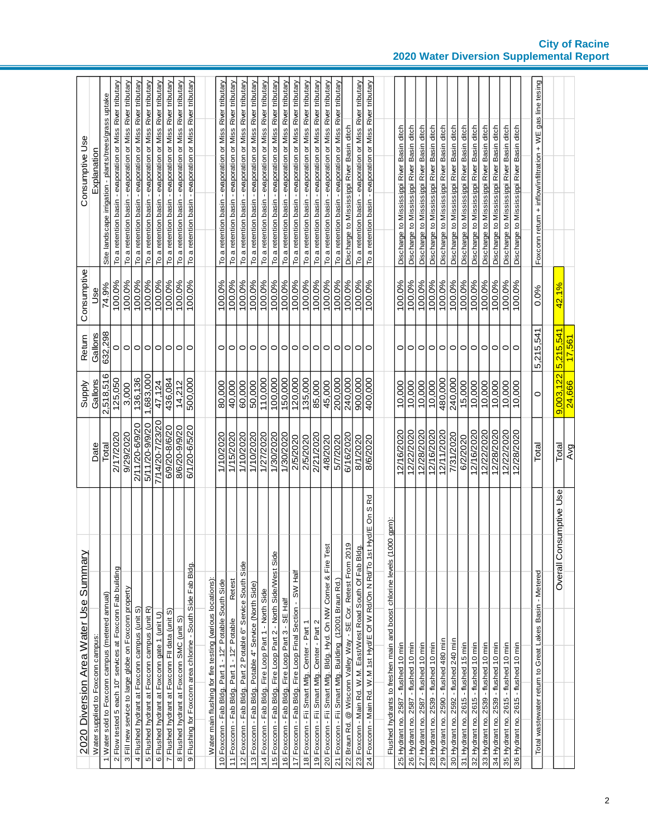| Consumptive Use<br>Consumptive        | Explanation<br>Use                | Site landscape irrigation - plants/trees/grass uptake<br>74.9% | To a retention basin - evaporation or Miss River tributary<br>100.0% | To a retention basin - evaporation or Miss River tributary<br>100.0% | To a retention basin - evaporation or Miss River tributary<br>100.0% | To a retention basin - evaporation or Miss River tributary<br>100.0% | To a retention basin - evaporation or Miss River tributary<br>100.0% | To a retention basin - evaporation or Miss River tributary<br>100.0% | To a retention basin - evaporation or Miss River tributary<br>100.0% | To a retention basin - evaporation or Miss River tributary<br>100.0% |                                                           | To a retention basin - evaporation or Miss River tributary<br>100.0% | To a retention basin - evaporation or Miss River tributary<br>100.0% | To a retention basin - evaporation or Miss River tributary<br>100.0% | To a retention basin - evaporation or Miss River tributary<br>100.0% | To a retention basin - evaporation or Miss River tributary<br>100.0% | To a retention basin - evaporation or Miss River tributary<br>100.0% | To a retention basin - evaporation or Miss River tributary<br>100.0% | To a retention basin - evaporation or Miss River tributary<br>100.0% | To a retention basin - evaporation or Miss River tributary<br>100.0% | To a retention basin - evaporation or Miss River tributary<br>100.0% | To a retention basin - evaporation or Miss River tributary<br>100.0% | To a retention basin - evaporation or Miss River tributary<br>100.0% | Discharge to Mississippi River Basin ditch<br>100.0%         | To a retention basin - evaporation or Miss River tributary<br>100.0% | To a retention basin - evaporation or Miss River tributary<br>100.0%                |                                                                        | Discharge to Mississippi River Basin ditch<br>100.0% | Discharge to Mississippi River Basin ditch<br>100.0% | Discharge to Mississippi River Basin ditch<br>100.0% | Discharge to Mississippi River Basin ditch<br>100.0% | Discharge to Mississippi River Basin ditch<br>100.0% | Discharge to Mississippi River Basin ditch<br>100.0% | Discharge to Mississippi River Basin ditch<br>100.0% | Discharge to Mississippi River Basin ditch<br>100.0% | Discharge to Mississippi River Basin ditch<br>100.0% | Discharge to Mississippi River Basin ditch<br>100.0% | Discharge to Mississippi River Basin ditch<br>100.0% | Discharge to Mississippi River Basin ditch<br>100.0% | Foxconn return + inflow/infiltration + WE gas line tesing<br>0.0% | 42.1%                       |        |
|---------------------------------------|-----------------------------------|----------------------------------------------------------------|----------------------------------------------------------------------|----------------------------------------------------------------------|----------------------------------------------------------------------|----------------------------------------------------------------------|----------------------------------------------------------------------|----------------------------------------------------------------------|----------------------------------------------------------------------|----------------------------------------------------------------------|-----------------------------------------------------------|----------------------------------------------------------------------|----------------------------------------------------------------------|----------------------------------------------------------------------|----------------------------------------------------------------------|----------------------------------------------------------------------|----------------------------------------------------------------------|----------------------------------------------------------------------|----------------------------------------------------------------------|----------------------------------------------------------------------|----------------------------------------------------------------------|----------------------------------------------------------------------|----------------------------------------------------------------------|--------------------------------------------------------------|----------------------------------------------------------------------|-------------------------------------------------------------------------------------|------------------------------------------------------------------------|------------------------------------------------------|------------------------------------------------------|------------------------------------------------------|------------------------------------------------------|------------------------------------------------------|------------------------------------------------------|------------------------------------------------------|------------------------------------------------------|------------------------------------------------------|------------------------------------------------------|------------------------------------------------------|------------------------------------------------------|-------------------------------------------------------------------|-----------------------------|--------|
| Return                                | Gallons                           | 632,298                                                        | 0                                                                    | $\circ$                                                              |                                                                      | $\circ$                                                              | $\circ$                                                              | $\circ$                                                              | $\circ$                                                              | $\circ$                                                              |                                                           | 0                                                                    | $\circ$                                                              | 0                                                                    | $\circ$                                                              | $\circ$                                                              | $\circ$                                                              | $\circ$                                                              | $\circ$                                                              | $\circ$                                                              |                                                                      | $\circ$                                                              |                                                                      | $\circ$                                                      |                                                                      | $\circ$                                                                             |                                                                        | 0                                                    | $\circ$                                              | $\circ$                                              | $\circ$                                              | $\circ$                                              | $\circ$                                              | $\circ$                                              | $\circ$                                              | $\circ$                                              | $\circ$                                              | $\circ$                                              | 0                                                    | 5,215,541                                                         |                             | 17.561 |
| Supply                                | Gallons                           | 2,518,516                                                      | 125,050                                                              | 3,000                                                                | 136,136                                                              | 1,683,000                                                            | 47,124                                                               | 436,084                                                              | 14,212                                                               | 500,000                                                              |                                                           | 80,000                                                               | 40,000                                                               | 60,000                                                               | 50,000                                                               | 110,000                                                              | 100,000                                                              | 150,000                                                              | 120,000                                                              | 135.000                                                              | 85,000                                                               | 45,000                                                               | 200,000                                                              | 240,000                                                      | 900,000                                                              | 400,000                                                                             |                                                                        | 10,000                                               | 10,000                                               | 10,000                                               | 10,000                                               | 480,000                                              | 240,000                                              | 15,000                                               | 10,000                                               | 10,000                                               | 10,000                                               | 10,000                                               | 10,000                                               | O                                                                 | $9.003.122$ 5.215.541       | 24.666 |
|                                       | Date                              | Total                                                          | 2/17/2020                                                            | 9/29/2020                                                            | 2/11/20-6/9/20                                                       | 5/11/20-9/9/20                                                       | 7/14/20-7/23/20                                                      | 6/9/20-8/6/20                                                        | 8/6/20-9/9/20                                                        | 6/1/20-6/5/20                                                        |                                                           | 1/10/2020                                                            | 1/15/2020                                                            | 1/10/2020                                                            | 1/10/2020                                                            | 1/27/2020                                                            | 1/30/2020                                                            | 1/30/2020                                                            | 2/5/2020                                                             | 2/5/2020                                                             | 2/21/2020                                                            | 4/8/2020                                                             | 5/7/2020                                                             | 6/16/2020                                                    | 8/1/2020                                                             | 8/6/2020                                                                            |                                                                        | 12/16/2020                                           | 12/22/2020                                           | 12/28/2020                                           | 12/16/2020                                           | 12/11/2020                                           | 7/31/2020                                            | 6/2/2020                                             | 12/16/2020                                           | 12/22/2020                                           | 12/28/2020                                           | 12/22/2020                                           | 12/28/2020                                           | Total                                                             | Total                       | Avg    |
| 2020 Diversion Area Water Use Summary | Water supplied to Foxconn campus: | 1 Water sold to Foxconn campus (metered annual)                | Flow tested 5 each 10" services at Foxconn Fab building              | 3 Fill new service to large globe on Foxconn property                | 4 Flushed hydrant at Foxconn campus (unit S)                         | 5 Flushed hydrant at Foxconn campus (unit R)                         | 6 Flushed hydrant at Foxconn gate 1 (unit U)                         | 7 Flushed hydrant at Foxconn Fll data (unit S)                       | 8 Flushed hydrant at Foxconn SMC (unit S)                            | 9 Flushing for Foxconn area chlorine - South Side Fab Bldg.          | Water main flushing for fire testing (various locations): | 10 Foxconn - Fab Bldg. Part 1 - 12" Potable South Side               | Retest<br>11 Foxconn - Fab Bldg. Part 1 - 12" Potable                | 12 Foxconn - Fab Bldg. Part 2 Potable 6" Service South Side          | 13 Foxconn - Fab Bldg. Potable 4" Service (North Side)               | 14 Foxconn - Fab Bldg. Fire Loop Part 1 - North Side                 | 15 Foxconn - Fab Bldg. Fire Loop Part 2 - North Side/West Side       | 16 Foxconn - Fab Bldg. Fire Loop Part 3 - SE Half                    | 17 Foxconn - Fab Bldg. Fire Loop Final Section - SW Half             | 18 Foxconn - Fii Smart Mfg. Center - Part 1                          | 19 Foxconn - Fii Smart Mfg. Center - Part 2                          | 20 Foxconn - Fii Smart Mfg. Bldg. Hyd. On NW Comer & Fire Test       | 21 Foxconn - Fii Smart Mfg. Building (12001 Braun Rd.)               | 22 Braun Rd. @ Wisconn Valley Way - SE Cor. Retest From 2019 | 23 Foxconn - Main Rd. W.M. East/West Road South Of Fab Bldg.         | Rd<br>w<br>δ<br>Hyd/E<br>24 Foxconn - Main Rd. W.M 1st Hyd/E Of W Rd/On N Rd/To 1st | Flushed hydrants to freshen main and boost chlorine levels (1000 gpm): | 25 Hydrant no. 2587 - flushed 10 min                 | 26 Hydrant no. 2587 - flushed 10 min                 | 27 Hydrant no. 2587 - flushed 10 min                 | 28 Hydrant no. 2539 - flushed 10 min                 | 29 Hydrant no. 2590 - flushed 480 min                | 30 Hydrant no. 2592 - flushed 240 min                | 31 Hydrant no. 2615 - flushed 15 min                 | 32 Hydrant no. 2615 - flushed 10 min                 | 33 Hydrant no. 2539 - flushed 10 min                 | 34 Hydrant no. 2539 - flushed 10 min                 | 35 Hydrant no. 2615 - flushed 10 min                 | 36 Hydrant no. 2615 - flushed 10 min                 | Total wastewater return to Great Lakes Basin - Metered            | nsumptive Use<br>Overall Co |        |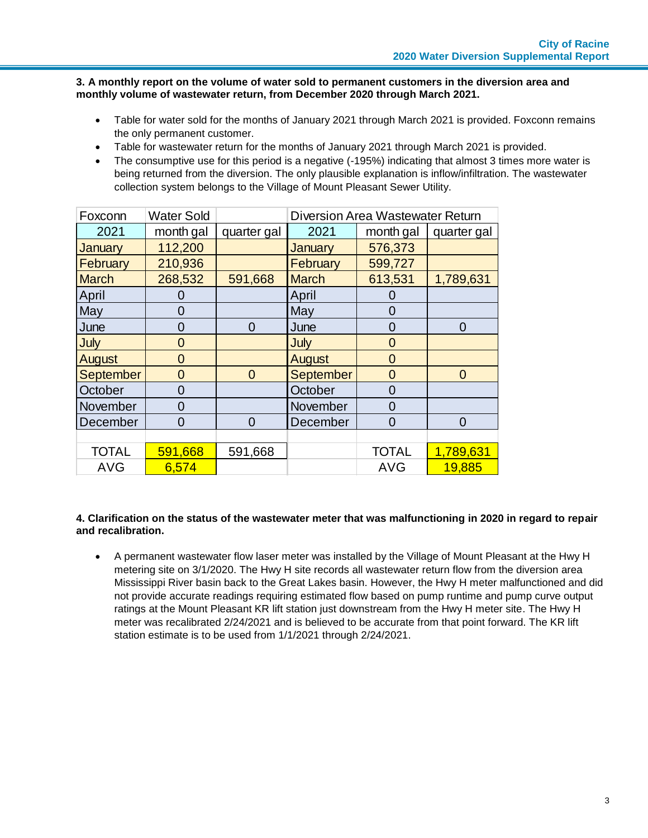## **3. A monthly report on the volume of water sold to permanent customers in the diversion area and monthly volume of wastewater return, from December 2020 through March 2021.**

- Table for water sold for the months of January 2021 through March 2021 is provided. Foxconn remains the only permanent customer.
- Table for wastewater return for the months of January 2021 through March 2021 is provided.
- The consumptive use for this period is a negative (-195%) indicating that almost 3 times more water is being returned from the diversion. The only plausible explanation is inflow/infiltration. The wastewater collection system belongs to the Village of Mount Pleasant Sewer Utility.

| Foxconn          | <b>Water Sold</b> |                | <b>Diversion Area Wastewater Return</b> |                |             |  |  |  |
|------------------|-------------------|----------------|-----------------------------------------|----------------|-------------|--|--|--|
| 2021             | month gal         | quarter gal    | 2021                                    | month gal      | quarter gal |  |  |  |
| January          | 112,200           |                | <b>January</b>                          | 576,373        |             |  |  |  |
| February         | 210,936           |                | February                                | 599,727        |             |  |  |  |
| <b>March</b>     | 268,532           | 591,668        | <b>March</b>                            | 613,531        | 1,789,631   |  |  |  |
| April            |                   |                | April                                   |                |             |  |  |  |
| May              | 0                 |                | May                                     | O              |             |  |  |  |
| June             | 0                 | 0              | June                                    | 0              | 0           |  |  |  |
| July             | $\overline{0}$    |                | July                                    | $\overline{0}$ |             |  |  |  |
| August           | $\overline{0}$    |                | August                                  | $\overline{0}$ |             |  |  |  |
| <b>September</b> | $\overline{0}$    | $\overline{0}$ | September                               | $\overline{0}$ | $\Omega$    |  |  |  |
| October          | 0                 |                | October                                 | $\overline{0}$ |             |  |  |  |
| November         | 0                 |                | November                                | $\overline{0}$ |             |  |  |  |
| December         | 0                 | $\Omega$       | December                                | $\Omega$       | 0           |  |  |  |
|                  |                   |                |                                         |                |             |  |  |  |
| <b>TOTAL</b>     | 591,668           | 591,668        |                                         | <b>TOTAL</b>   | 1,789,631   |  |  |  |
| <b>AVG</b>       | 6,574             |                |                                         | <b>AVG</b>     | 19,885      |  |  |  |

# **4. Clarification on the status of the wastewater meter that was malfunctioning in 2020 in regard to repair and recalibration.**

 A permanent wastewater flow laser meter was installed by the Village of Mount Pleasant at the Hwy H metering site on 3/1/2020. The Hwy H site records all wastewater return flow from the diversion area Mississippi River basin back to the Great Lakes basin. However, the Hwy H meter malfunctioned and did not provide accurate readings requiring estimated flow based on pump runtime and pump curve output ratings at the Mount Pleasant KR lift station just downstream from the Hwy H meter site. The Hwy H meter was recalibrated 2/24/2021 and is believed to be accurate from that point forward. The KR lift station estimate is to be used from 1/1/2021 through 2/24/2021.